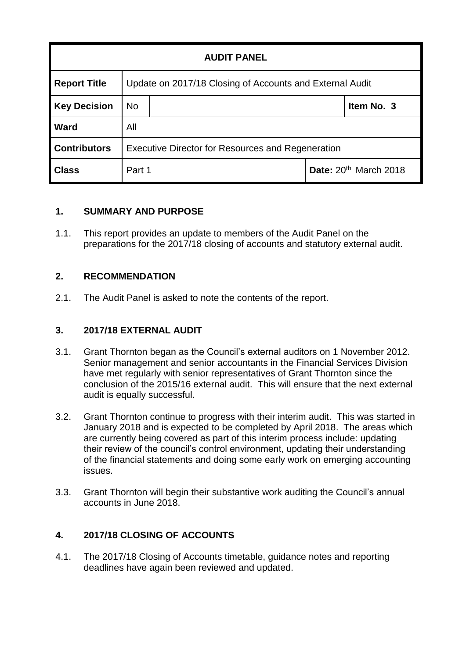| <b>AUDIT PANEL</b>  |                                                          |  |                                   |            |
|---------------------|----------------------------------------------------------|--|-----------------------------------|------------|
| <b>Report Title</b> | Update on 2017/18 Closing of Accounts and External Audit |  |                                   |            |
| <b>Key Decision</b> | <b>No</b>                                                |  |                                   | Item No. 3 |
| <b>Ward</b>         | All                                                      |  |                                   |            |
| <b>Contributors</b> | <b>Executive Director for Resources and Regeneration</b> |  |                                   |            |
| <b>Class</b>        | Part 1                                                   |  | Date: 20 <sup>th</sup> March 2018 |            |

### **1. SUMMARY AND PURPOSE**

1.1. This report provides an update to members of the Audit Panel on the preparations for the 2017/18 closing of accounts and statutory external audit.

### **2. RECOMMENDATION**

2.1. The Audit Panel is asked to note the contents of the report.

### **3. 2017/18 EXTERNAL AUDIT**

- 3.1. Grant Thornton began as the Council's external auditors on 1 November 2012. Senior management and senior accountants in the Financial Services Division have met regularly with senior representatives of Grant Thornton since the conclusion of the 2015/16 external audit. This will ensure that the next external audit is equally successful.
- 3.2. Grant Thornton continue to progress with their interim audit. This was started in January 2018 and is expected to be completed by April 2018. The areas which are currently being covered as part of this interim process include: updating their review of the council's control environment, updating their understanding of the financial statements and doing some early work on emerging accounting issues.
- 3.3. Grant Thornton will begin their substantive work auditing the Council's annual accounts in June 2018.

# **4. 2017/18 CLOSING OF ACCOUNTS**

4.1. The 2017/18 Closing of Accounts timetable, guidance notes and reporting deadlines have again been reviewed and updated.